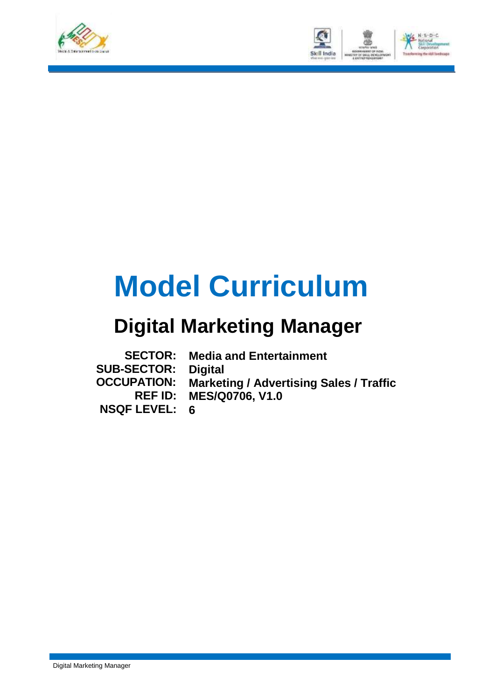



# **Model Curriculum**

## **Digital Marketing Manager**

| <b>SECTOR:</b>     | <b>Media and Entertainment</b>                 |
|--------------------|------------------------------------------------|
| <b>SUB-SECTOR:</b> | Digital                                        |
| <b>OCCUPATION:</b> | <b>Marketing / Advertising Sales / Traffic</b> |
|                    | <b>REF ID: MES/Q0706, V1.0</b>                 |
| NSQF LEVEL: 6      |                                                |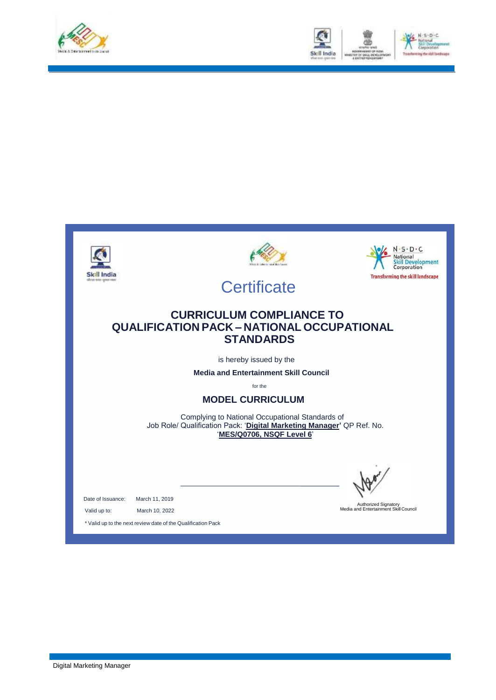



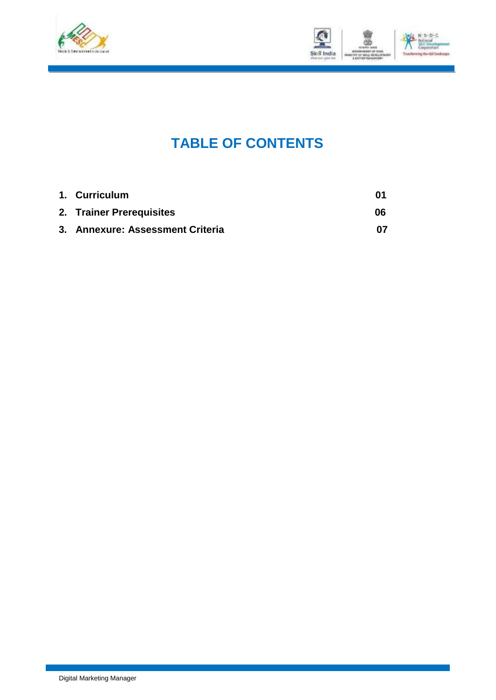



### **TABLE OF CONTENTS**

| 1. Curriculum                    | 01 |
|----------------------------------|----|
| 2. Trainer Prerequisites         | 06 |
| 3. Annexure: Assessment Criteria |    |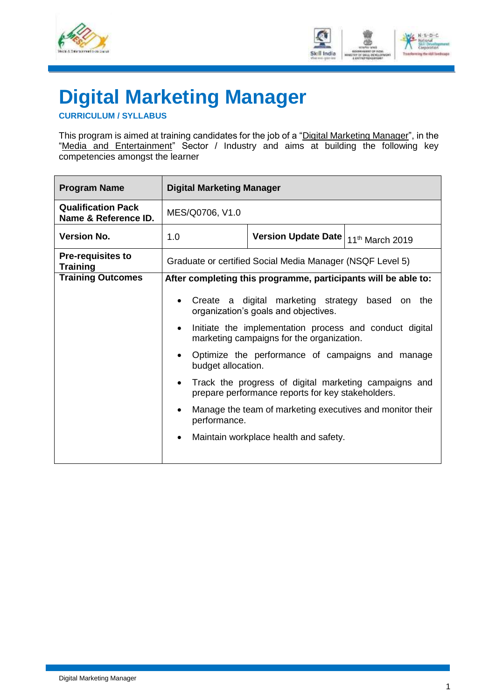



## <span id="page-3-0"></span>**Digital Marketing Manager**

**CURRICULUM / SYLLABUS**

This program is aimed at training candidates for the job of a "Digital Marketing Manager", in the "Media and Entertainment" Sector / Industry and aims at building the following key competencies amongst the learner

| <b>Program Name</b>                               | <b>Digital Marketing Manager</b>                                                                                  |                                                                                                            |  |  |  |  |
|---------------------------------------------------|-------------------------------------------------------------------------------------------------------------------|------------------------------------------------------------------------------------------------------------|--|--|--|--|
| <b>Qualification Pack</b><br>Name & Reference ID. | MES/Q0706, V1.0                                                                                                   |                                                                                                            |  |  |  |  |
| <b>Version No.</b>                                | 1.0                                                                                                               | Version Update Date   11th March 2019                                                                      |  |  |  |  |
| <b>Pre-requisites to</b><br><b>Training</b>       | Graduate or certified Social Media Manager (NSQF Level 5)                                                         |                                                                                                            |  |  |  |  |
| <b>Training Outcomes</b>                          |                                                                                                                   | After completing this programme, participants will be able to:                                             |  |  |  |  |
|                                                   | Create a digital marketing strategy based<br>on the<br>organization's goals and objectives.                       |                                                                                                            |  |  |  |  |
|                                                   | Initiate the implementation process and conduct digital<br>$\bullet$<br>marketing campaigns for the organization. |                                                                                                            |  |  |  |  |
|                                                   | $\bullet$                                                                                                         | Optimize the performance of campaigns and manage<br>budget allocation.                                     |  |  |  |  |
|                                                   |                                                                                                                   | Track the progress of digital marketing campaigns and<br>prepare performance reports for key stakeholders. |  |  |  |  |
|                                                   |                                                                                                                   | Manage the team of marketing executives and monitor their<br>performance.                                  |  |  |  |  |
|                                                   | Maintain workplace health and safety.<br>$\bullet$                                                                |                                                                                                            |  |  |  |  |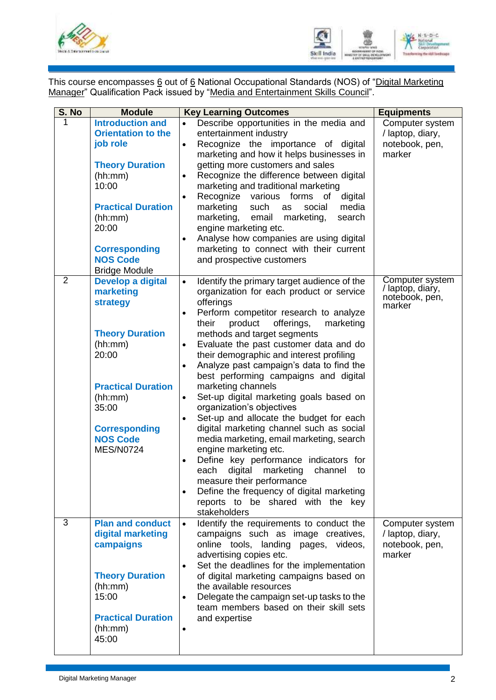



This course encompasses <u>6</u> out of <u>6</u> National Occupational Standards (NOS) of "<u>Digital Marketing</u> Manager" Qualification Pack issued by "Media and Entertainment Skills Council".

| S. No          | <b>Module</b>                                                                                                                                                                                                                      | <b>Key Learning Outcomes</b>                                                                                                                                                                                                                                                                                                                                                                                                                                                                                                                                                                                                                                                                                                                                                                                                                                                                                                                                                                    | <b>Equipments</b>                                               |
|----------------|------------------------------------------------------------------------------------------------------------------------------------------------------------------------------------------------------------------------------------|-------------------------------------------------------------------------------------------------------------------------------------------------------------------------------------------------------------------------------------------------------------------------------------------------------------------------------------------------------------------------------------------------------------------------------------------------------------------------------------------------------------------------------------------------------------------------------------------------------------------------------------------------------------------------------------------------------------------------------------------------------------------------------------------------------------------------------------------------------------------------------------------------------------------------------------------------------------------------------------------------|-----------------------------------------------------------------|
| 1              | <b>Introduction and</b><br><b>Orientation to the</b><br>job role<br><b>Theory Duration</b><br>(hh:mm)<br>10:00<br><b>Practical Duration</b><br>(hh:mm)<br>20:00<br><b>Corresponding</b><br><b>NOS Code</b><br><b>Bridge Module</b> | Describe opportunities in the media and<br>$\bullet$<br>entertainment industry<br>Recognize the importance of digital<br>$\bullet$<br>marketing and how it helps businesses in<br>getting more customers and sales<br>Recognize the difference between digital<br>$\bullet$<br>marketing and traditional marketing<br>Recognize<br>forms<br>various<br>digital<br>of<br>$\bullet$<br>marketing<br>such<br>media<br>social<br>as<br>marketing,<br>email<br>marketing,<br>search<br>engine marketing etc.<br>Analyse how companies are using digital<br>$\bullet$<br>marketing to connect with their current<br>and prospective customers                                                                                                                                                                                                                                                                                                                                                         | Computer system<br>/ laptop, diary,<br>notebook, pen,<br>marker |
| $\overline{2}$ | <b>Develop a digital</b><br>marketing<br>strategy<br><b>Theory Duration</b><br>(hh:mm)<br>20:00<br><b>Practical Duration</b><br>(hh:mm)<br>35:00<br><b>Corresponding</b><br><b>NOS Code</b><br><b>MES/N0724</b>                    | Identify the primary target audience of the<br>$\bullet$<br>organization for each product or service<br>offerings<br>Perform competitor research to analyze<br>$\bullet$<br>product<br>offerings,<br>their<br>marketing<br>methods and target segments<br>Evaluate the past customer data and do<br>$\bullet$<br>their demographic and interest profiling<br>Analyze past campaign's data to find the<br>$\bullet$<br>best performing campaigns and digital<br>marketing channels<br>Set-up digital marketing goals based on<br>$\bullet$<br>organization's objectives<br>Set-up and allocate the budget for each<br>$\bullet$<br>digital marketing channel such as social<br>media marketing, email marketing, search<br>engine marketing etc.<br>Define key performance indicators for<br>$\bullet$<br>digital marketing<br>each<br>channel<br>to<br>measure their performance<br>Define the frequency of digital marketing<br>$\bullet$<br>reports to be shared with the key<br>stakeholders | Computer system<br>/ laptop, diary,<br>notebook, pen,<br>marker |
| 3              | <b>Plan and conduct</b><br>digital marketing<br>campaigns<br><b>Theory Duration</b><br>(hh:mm)<br>15:00<br><b>Practical Duration</b><br>(hh:mm)<br>45:00                                                                           | Identify the requirements to conduct the<br>$\bullet$<br>campaigns such as image creatives,<br>online tools, landing<br>pages,<br>videos,<br>advertising copies etc.<br>Set the deadlines for the implementation<br>$\bullet$<br>of digital marketing campaigns based on<br>the available resources<br>Delegate the campaign set-up tasks to the<br>$\bullet$<br>team members based on their skill sets<br>and expertise<br>$\bullet$                                                                                                                                                                                                                                                                                                                                                                                                                                                                                                                                                           | Computer system<br>/ laptop, diary,<br>notebook, pen,<br>marker |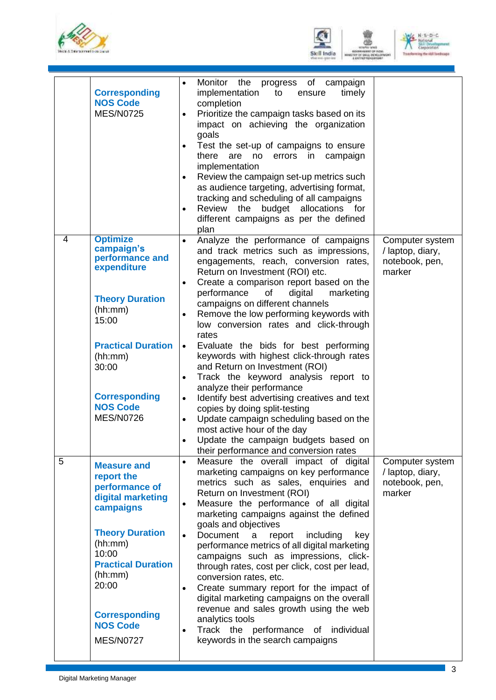





|   | <b>Corresponding</b><br><b>NOS Code</b><br><b>MES/N0725</b>                                                                                                                                                                                        | Monitor the progress of campaign<br>$\bullet$<br>implementation<br>timely<br>to<br>ensure<br>completion<br>Prioritize the campaign tasks based on its<br>impact on achieving the organization<br>goals<br>Test the set-up of campaigns to ensure<br>$\bullet$<br>there<br>campaign<br>are<br>no<br>errors<br>in<br>implementation<br>Review the campaign set-up metrics such<br>$\bullet$<br>as audience targeting, advertising format,<br>tracking and scheduling of all campaigns<br>Review the budget allocations for<br>$\bullet$<br>different campaigns as per the defined<br>plan                                                                                                                                                                                                                                                                                                        |                                                                 |
|---|----------------------------------------------------------------------------------------------------------------------------------------------------------------------------------------------------------------------------------------------------|------------------------------------------------------------------------------------------------------------------------------------------------------------------------------------------------------------------------------------------------------------------------------------------------------------------------------------------------------------------------------------------------------------------------------------------------------------------------------------------------------------------------------------------------------------------------------------------------------------------------------------------------------------------------------------------------------------------------------------------------------------------------------------------------------------------------------------------------------------------------------------------------|-----------------------------------------------------------------|
| 4 | <b>Optimize</b><br>campaign's<br>performance and<br>expenditure<br><b>Theory Duration</b><br>(hh:mm)<br>15:00<br><b>Practical Duration</b><br>(hh:mm)<br>30:00<br><b>Corresponding</b><br><b>NOS Code</b><br><b>MES/N0726</b>                      | Analyze the performance of campaigns<br>$\bullet$<br>and track metrics such as impressions,<br>engagements, reach, conversion rates,<br>Return on Investment (ROI) etc.<br>Create a comparison report based on the<br>$\bullet$<br>performance<br>of<br>digital<br>marketing<br>campaigns on different channels<br>Remove the low performing keywords with<br>$\bullet$<br>low conversion rates and click-through<br>rates<br>Evaluate the bids for best performing<br>$\bullet$<br>keywords with highest click-through rates<br>and Return on Investment (ROI)<br>Track the keyword analysis report to<br>$\bullet$<br>analyze their performance<br>Identify best advertising creatives and text<br>copies by doing split-testing<br>Update campaign scheduling based on the<br>most active hour of the day<br>Update the campaign budgets based on<br>their performance and conversion rates | Computer system<br>/ laptop, diary,<br>notebook, pen,<br>marker |
| 5 | <b>Measure and</b><br>report the<br>performance of<br>digital marketing<br>campaigns<br><b>Theory Duration</b><br>(hh:mm)<br>10:00<br><b>Practical Duration</b><br>(hh:mm)<br>20:00<br><b>Corresponding</b><br><b>NOS Code</b><br><b>MES/N0727</b> | Measure the overall impact of digital<br>$\bullet$<br>marketing campaigns on key performance<br>metrics such as sales, enquiries and<br>Return on Investment (ROI)<br>Measure the performance of all digital<br>marketing campaigns against the defined<br>goals and objectives<br>Document<br>including<br>a<br>report<br>key<br>$\bullet$<br>performance metrics of all digital marketing<br>campaigns such as impressions, click-<br>through rates, cost per click, cost per lead,<br>conversion rates, etc.<br>Create summary report for the impact of<br>$\bullet$<br>digital marketing campaigns on the overall<br>revenue and sales growth using the web<br>analytics tools<br>Track the performance of<br>individual<br>$\bullet$<br>keywords in the search campaigns                                                                                                                  | Computer system<br>/ laptop, diary,<br>notebook, pen,<br>marker |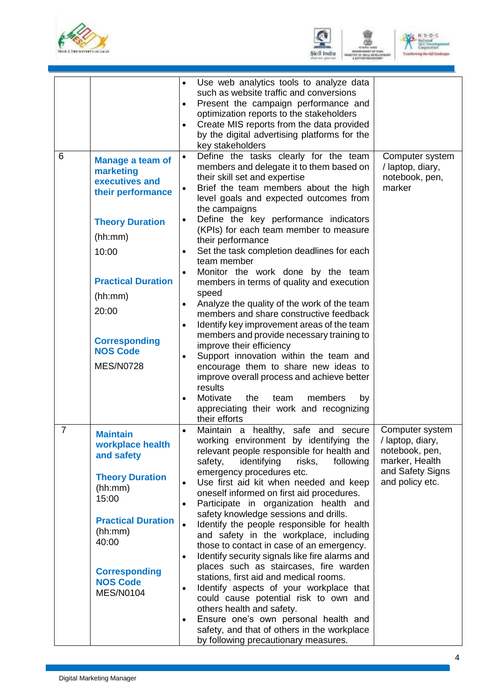





|                |                                                                                                                                                                                                                                           | Use web analytics tools to analyze data<br>$\bullet$<br>such as website traffic and conversions<br>Present the campaign performance and<br>optimization reports to the stakeholders<br>Create MIS reports from the data provided<br>by the digital advertising platforms for the<br>key stakeholders                                                                                                                                                                                                                                                                                                                                                                                                                                                                                                                                                                                                                                                                                                                                              |                                                                                                                |
|----------------|-------------------------------------------------------------------------------------------------------------------------------------------------------------------------------------------------------------------------------------------|---------------------------------------------------------------------------------------------------------------------------------------------------------------------------------------------------------------------------------------------------------------------------------------------------------------------------------------------------------------------------------------------------------------------------------------------------------------------------------------------------------------------------------------------------------------------------------------------------------------------------------------------------------------------------------------------------------------------------------------------------------------------------------------------------------------------------------------------------------------------------------------------------------------------------------------------------------------------------------------------------------------------------------------------------|----------------------------------------------------------------------------------------------------------------|
| 6              | <b>Manage a team of</b><br>marketing<br>executives and<br>their performance<br><b>Theory Duration</b><br>(hh:mm)<br>10:00<br><b>Practical Duration</b><br>(hh:mm)<br>20:00<br><b>Corresponding</b><br><b>NOS Code</b><br><b>MES/N0728</b> | Define the tasks clearly for the team<br>$\bullet$<br>members and delegate it to them based on<br>their skill set and expertise<br>Brief the team members about the high<br>$\bullet$<br>level goals and expected outcomes from<br>the campaigns<br>Define the key performance indicators<br>$\bullet$<br>(KPIs) for each team member to measure<br>their performance<br>Set the task completion deadlines for each<br>team member<br>Monitor the work done by the team<br>$\bullet$<br>members in terms of quality and execution<br>speed<br>Analyze the quality of the work of the team<br>$\bullet$<br>members and share constructive feedback<br>Identify key improvement areas of the team<br>$\bullet$<br>members and provide necessary training to<br>improve their efficiency<br>Support innovation within the team and<br>$\bullet$<br>encourage them to share new ideas to<br>improve overall process and achieve better<br>results<br>Motivate<br>the<br>members<br>by<br>team<br>$\bullet$<br>appreciating their work and recognizing | Computer system<br>/ laptop, diary,<br>notebook, pen,<br>marker                                                |
| $\overline{7}$ | <b>Maintain</b><br>workplace health<br>and safety<br><b>Theory Duration</b><br>(hh:mm)<br>15:00<br><b>Practical Duration</b><br>(hh:mm)<br>40:00<br><b>Corresponding</b><br><b>NOS Code</b><br><b>MES/N0104</b>                           | their efforts<br>Maintain a healthy, safe and secure<br>working environment by identifying the<br>relevant people responsible for health and<br>identifying<br>safety,<br>risks,<br>following<br>emergency procedures etc.<br>Use first aid kit when needed and keep<br>$\bullet$<br>oneself informed on first aid procedures.<br>Participate in organization health and<br>safety knowledge sessions and drills.<br>Identify the people responsible for health<br>and safety in the workplace, including<br>those to contact in case of an emergency.<br>Identify security signals like fire alarms and<br>$\bullet$<br>places such as staircases, fire warden<br>stations, first aid and medical rooms.<br>Identify aspects of your workplace that<br>could cause potential risk to own and<br>others health and safety.<br>Ensure one's own personal health and<br>$\bullet$<br>safety, and that of others in the workplace<br>by following precautionary measures.                                                                            | Computer system<br>/ laptop, diary,<br>notebook, pen,<br>marker, Health<br>and Safety Signs<br>and policy etc. |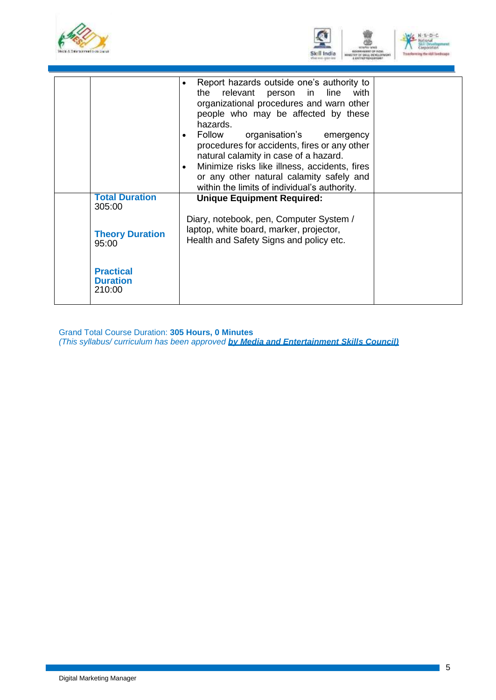



|                                               | Report hazards outside one's authority to<br>$\bullet$<br>the relevant person in line with<br>organizational procedures and warn other<br>people who may be affected by these<br>hazards.<br>Follow organisation's emergency<br>$\bullet$<br>procedures for accidents, fires or any other<br>natural calamity in case of a hazard.<br>Minimize risks like illness, accidents, fires<br>$\bullet$<br>or any other natural calamity safely and<br>within the limits of individual's authority. |  |
|-----------------------------------------------|----------------------------------------------------------------------------------------------------------------------------------------------------------------------------------------------------------------------------------------------------------------------------------------------------------------------------------------------------------------------------------------------------------------------------------------------------------------------------------------------|--|
| <b>Total Duration</b><br>305:00               | <b>Unique Equipment Required:</b>                                                                                                                                                                                                                                                                                                                                                                                                                                                            |  |
| <b>Theory Duration</b><br>95:00               | Diary, notebook, pen, Computer System /<br>laptop, white board, marker, projector,<br>Health and Safety Signs and policy etc.                                                                                                                                                                                                                                                                                                                                                                |  |
| <b>Practical</b><br><b>Duration</b><br>210:00 |                                                                                                                                                                                                                                                                                                                                                                                                                                                                                              |  |

Grand Total Course Duration: **305 Hours, 0 Minutes** *(This syllabus/ curriculum has been approved by Media and Entertainment Skills Council)*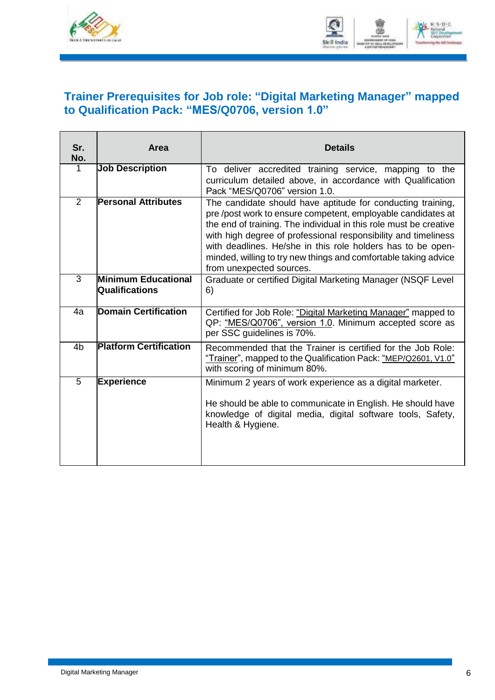



### <span id="page-8-0"></span>**Trainer Prerequisites for Job role: "Digital Marketing Manager" mapped to Qualification Pack: "MES/Q0706, version 1.0"**

| Sr.<br>No.     | Area                                         | <b>Details</b>                                                                                                                                                                                                                                                                                                                                                                                                                   |
|----------------|----------------------------------------------|----------------------------------------------------------------------------------------------------------------------------------------------------------------------------------------------------------------------------------------------------------------------------------------------------------------------------------------------------------------------------------------------------------------------------------|
| $\mathbf 1$    | <b>Job Description</b>                       | To deliver accredited training service, mapping to the<br>curriculum detailed above, in accordance with Qualification<br>Pack "MES/Q0706" version 1.0.                                                                                                                                                                                                                                                                           |
| $\overline{2}$ | <b>Personal Attributes</b>                   | The candidate should have aptitude for conducting training,<br>pre /post work to ensure competent, employable candidates at<br>the end of training. The individual in this role must be creative<br>with high degree of professional responsibility and timeliness<br>with deadlines. He/she in this role holders has to be open-<br>minded, willing to try new things and comfortable taking advice<br>from unexpected sources. |
| $\overline{3}$ | Minimum Educational<br><b>Qualifications</b> | Graduate or certified Digital Marketing Manager (NSQF Level<br>6)                                                                                                                                                                                                                                                                                                                                                                |
| 4a             | <b>Domain Certification</b>                  | Certified for Job Role: "Digital Marketing Manager" mapped to<br>QP: "MES/Q0706", version 1.0. Minimum accepted score as<br>per SSC guidelines is 70%.                                                                                                                                                                                                                                                                           |
| 4 <sub>b</sub> | <b>Platform Certification</b>                | Recommended that the Trainer is certified for the Job Role:<br>"Trainer", mapped to the Qualification Pack: "MEP/Q2601, V1.0"<br>with scoring of minimum 80%.                                                                                                                                                                                                                                                                    |
| 5              | <b>Experience</b>                            | Minimum 2 years of work experience as a digital marketer.<br>He should be able to communicate in English. He should have<br>knowledge of digital media, digital software tools, Safety,<br>Health & Hygiene.                                                                                                                                                                                                                     |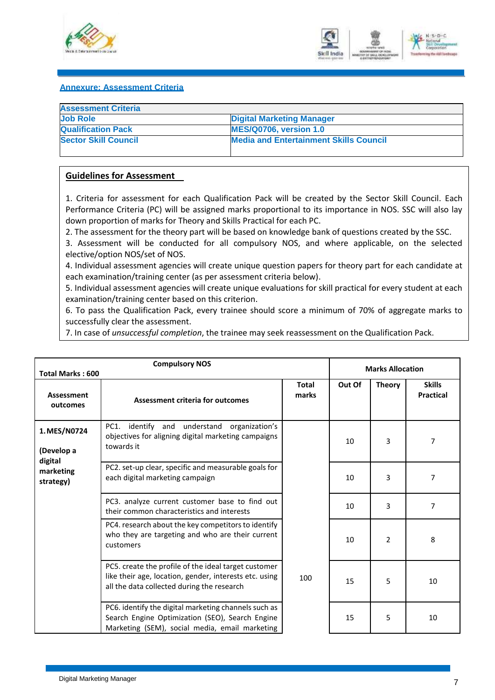



#### <span id="page-9-0"></span>**Annexure: Assessment Criteria**

| <b>Assessment Criteria</b>  |                                               |
|-----------------------------|-----------------------------------------------|
| <b>Job Role</b>             | <b>Digital Marketing Manager</b>              |
| <b>Qualification Pack</b>   | <b>MES/Q0706, version 1.0</b>                 |
| <b>Sector Skill Council</b> | <b>Media and Entertainment Skills Council</b> |

#### **Guidelines for Assessment**

1. Criteria for assessment for each Qualification Pack will be created by the Sector Skill Council. Each Performance Criteria (PC) will be assigned marks proportional to its importance in NOS. SSC will also lay down proportion of marks for Theory and Skills Practical for each PC.

2. The assessment for the theory part will be based on knowledge bank of questions created by the SSC.

3. Assessment will be conducted for all compulsory NOS, and where applicable, on the selected elective/option NOS/set of NOS.

4. Individual assessment agencies will create unique question papers for theory part for each candidate at each examination/training center (as per assessment criteria below).

5. Individual assessment agencies will create unique evaluations for skill practical for every student at each examination/training center based on this criterion.

6. To pass the Qualification Pack, every trainee should score a minimum of 70% of aggregate marks to successfully clear the assessment.

7. In case of *unsuccessful completion*, the trainee may seek reassessment on the Qualification Pack.

|                                       | <b>Compulsory NOS</b><br><b>Total Marks: 600</b>                                                                                                             |                       |        | <b>Marks Allocation</b> |                                   |  |
|---------------------------------------|--------------------------------------------------------------------------------------------------------------------------------------------------------------|-----------------------|--------|-------------------------|-----------------------------------|--|
| <b>Assessment</b><br>outcomes         | <b>Assessment criteria for outcomes</b>                                                                                                                      | <b>Total</b><br>marks | Out Of | <b>Theory</b>           | <b>Skills</b><br><b>Practical</b> |  |
| 1. MES/N0724<br>(Develop a<br>digital | PC1.<br>identify<br>understand organization's<br>and<br>objectives for aligning digital marketing campaigns<br>towards it                                    |                       | 10     | 3                       | 7                                 |  |
| marketing<br>strategy)                | PC2. set-up clear, specific and measurable goals for<br>each digital marketing campaign                                                                      |                       | 10     | 3                       | 7                                 |  |
|                                       | PC3. analyze current customer base to find out<br>their common characteristics and interests                                                                 |                       | 10     | 3                       | 7                                 |  |
|                                       | PC4. research about the key competitors to identify<br>who they are targeting and who are their current<br>customers                                         |                       | 10     | 2                       | 8                                 |  |
|                                       | PC5. create the profile of the ideal target customer<br>like their age, location, gender, interests etc. using<br>all the data collected during the research | 100                   | 15     | 5                       | 10                                |  |
|                                       | PC6. identify the digital marketing channels such as<br>Search Engine Optimization (SEO), Search Engine<br>Marketing (SEM), social media, email marketing    |                       | 15     | 5                       | 10                                |  |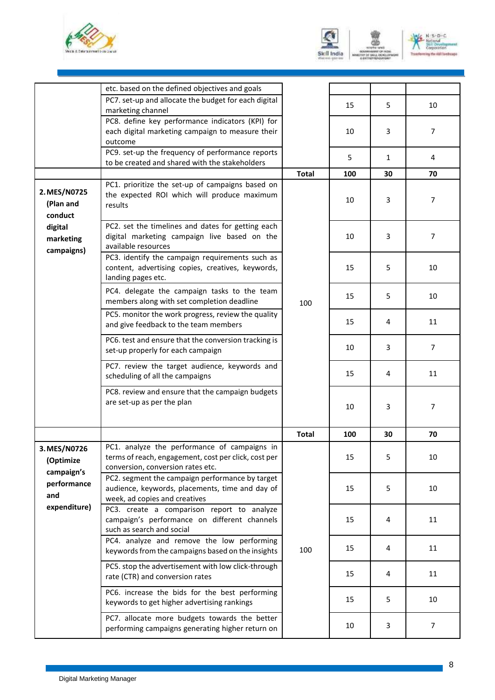





|                                         | etc. based on the defined objectives and goals                                                                                            |              |     |    |                |
|-----------------------------------------|-------------------------------------------------------------------------------------------------------------------------------------------|--------------|-----|----|----------------|
|                                         | PC7. set-up and allocate the budget for each digital<br>marketing channel                                                                 |              | 15  | 5  | 10             |
|                                         | PC8. define key performance indicators (KPI) for<br>each digital marketing campaign to measure their<br>outcome                           |              | 10  | 3  | $\overline{7}$ |
|                                         | PC9. set-up the frequency of performance reports<br>to be created and shared with the stakeholders                                        |              | 5   | 1  | 4              |
|                                         |                                                                                                                                           | <b>Total</b> | 100 | 30 | 70             |
| 2. MES/N0725<br>(Plan and<br>conduct    | PC1. prioritize the set-up of campaigns based on<br>the expected ROI which will produce maximum<br>results                                |              | 10  | 3  | $\overline{7}$ |
| digital<br>marketing<br>campaigns)      | PC2. set the timelines and dates for getting each<br>digital marketing campaign live based on the<br>available resources                  |              | 10  | 3  | $\overline{7}$ |
|                                         | PC3. identify the campaign requirements such as<br>content, advertising copies, creatives, keywords,<br>landing pages etc.                |              | 15  | 5  | 10             |
|                                         | PC4. delegate the campaign tasks to the team<br>members along with set completion deadline                                                | 100          | 15  | 5  | 10             |
|                                         | PC5. monitor the work progress, review the quality<br>and give feedback to the team members                                               |              | 15  | 4  | 11             |
|                                         | PC6. test and ensure that the conversion tracking is<br>set-up properly for each campaign                                                 |              | 10  | 3  | $\overline{7}$ |
|                                         | PC7. review the target audience, keywords and<br>scheduling of all the campaigns                                                          |              | 15  | 4  | 11             |
|                                         | PC8. review and ensure that the campaign budgets<br>are set-up as per the plan                                                            |              | 10  | 3  | 7              |
|                                         |                                                                                                                                           | <b>Total</b> | 100 | 30 | 70             |
| 3. MES/N0726<br>(Optimize<br>campaign's | PC1. analyze the performance of campaigns in<br>terms of reach, engagement, cost per click, cost per<br>conversion, conversion rates etc. |              | 15  | 5  | 10             |
| performance<br>and                      | PC2. segment the campaign performance by target<br>audience, keywords, placements, time and day of<br>week, ad copies and creatives       |              | 15  | 5  | 10             |
| expenditure)                            | PC3. create a comparison report to analyze<br>campaign's performance on different channels<br>such as search and social                   |              | 15  | 4  | 11             |
|                                         | PC4. analyze and remove the low performing<br>keywords from the campaigns based on the insights                                           | 100          | 15  | 4  | 11             |
|                                         | PC5. stop the advertisement with low click-through<br>rate (CTR) and conversion rates                                                     |              | 15  | 4  | 11             |
|                                         | PC6. increase the bids for the best performing<br>keywords to get higher advertising rankings                                             |              | 15  | 5  | 10             |
|                                         | PC7. allocate more budgets towards the better<br>performing campaigns generating higher return on                                         |              | 10  | 3  | $\overline{7}$ |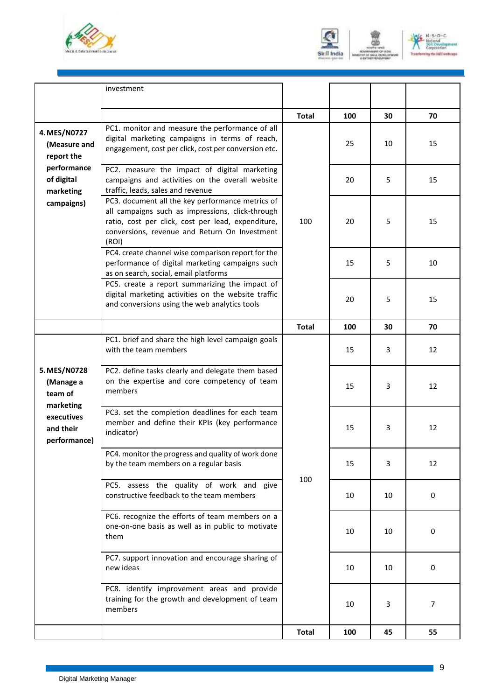





|                                                      | investment                                                                                                                                                                                                           |              |     |    |    |
|------------------------------------------------------|----------------------------------------------------------------------------------------------------------------------------------------------------------------------------------------------------------------------|--------------|-----|----|----|
|                                                      |                                                                                                                                                                                                                      | <b>Total</b> | 100 | 30 | 70 |
| 4. MES/N0727<br>(Measure and<br>report the           | PC1. monitor and measure the performance of all<br>digital marketing campaigns in terms of reach,<br>engagement, cost per click, cost per conversion etc.                                                            |              | 25  | 10 | 15 |
| performance<br>of digital<br>marketing               | PC2. measure the impact of digital marketing<br>campaigns and activities on the overall website<br>traffic, leads, sales and revenue                                                                                 |              | 20  | 5  | 15 |
| campaigns)                                           | PC3. document all the key performance metrics of<br>all campaigns such as impressions, click-through<br>ratio, cost per click, cost per lead, expenditure,<br>conversions, revenue and Return On Investment<br>(ROI) | 100          | 20  | 5  | 15 |
|                                                      | PC4. create channel wise comparison report for the<br>performance of digital marketing campaigns such<br>as on search, social, email platforms                                                                       |              | 15  | 5  | 10 |
|                                                      | PC5. create a report summarizing the impact of<br>digital marketing activities on the website traffic<br>and conversions using the web analytics tools                                                               |              | 20  | 5  | 15 |
|                                                      |                                                                                                                                                                                                                      | <b>Total</b> | 100 | 30 | 70 |
|                                                      | PC1. brief and share the high level campaign goals<br>with the team members                                                                                                                                          |              | 15  | 3  | 12 |
| 5. MES/N0728<br>(Manage a<br>team of                 | PC2. define tasks clearly and delegate them based<br>on the expertise and core competency of team<br>members                                                                                                         |              | 15  | 3  | 12 |
| marketing<br>executives<br>and their<br>performance) | PC3. set the completion deadlines for each team<br>member and define their KPIs (key performance<br>indicator)                                                                                                       |              | 15  | 3  | 12 |
|                                                      | PC4. monitor the progress and quality of work done<br>by the team members on a regular basis                                                                                                                         | 100          | 15  | 3  | 12 |
|                                                      | PC5. assess the quality of work and give<br>constructive feedback to the team members                                                                                                                                |              | 10  | 10 | 0  |
|                                                      | PC6. recognize the efforts of team members on a<br>one-on-one basis as well as in public to motivate<br>them                                                                                                         |              | 10  | 10 | 0  |
|                                                      | PC7. support innovation and encourage sharing of<br>new ideas                                                                                                                                                        |              | 10  | 10 | 0  |
|                                                      | PC8. identify improvement areas and provide<br>training for the growth and development of team<br>members                                                                                                            |              | 10  | 3  | 7  |
|                                                      |                                                                                                                                                                                                                      | <b>Total</b> | 100 | 45 | 55 |